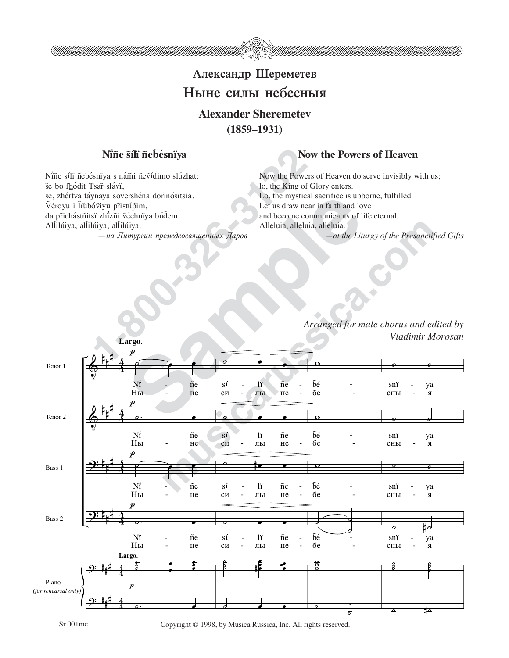

## Александр Шереметев Ныне силы небесныя **Alexander Sheremetev**

**(1859–1931)**

## N'ine sili nebesniya and a Now the Powers of Heaven

**Nifie silli fiebésniya**<br>
Esniya s námi nevídimo slúzhat:<br>
Isař slávi,<br>
Isař slávi,<br>
Isař slávi,<br>
Isař slávi,<br>
Isař slávi,<br>
Isař slávi,<br>
Isar slóvich propriate dorinósitsia.<br>
Isar Lot us draw ne<br>
Isar Let us draw ne<br>
Islá Nine sílï ñebésnïya s nám̃i ñeṽíd̃imo slúzhat: še bo fhódit Tsar slávï, se, zhértva táynaya sovershéna dorinósitsia. Véroyu i lîûbóviyu přistúpim, da přichástñitsï zhizñi véchnïya búdem. Allilúiya, allilúiya, allilúiya.

— на Литургии преждеосвященных Даров

Now the Powers of Heaven do serve invisibly with us; lo, the King of Glory enters. Lo, the mystical sacrifice is upborne, fulfilled. Let us draw near in faith and love and become communicants of life eternal. Alleluia, alleluia, alleluia. *—at the Liturgy of the Presanctified Gifts*

> *Arranged for male chorus and edited by Vladimir Morosan*



Sr 001mc Copyright © 1998, by Musica Russica, Inc. All rights reserved.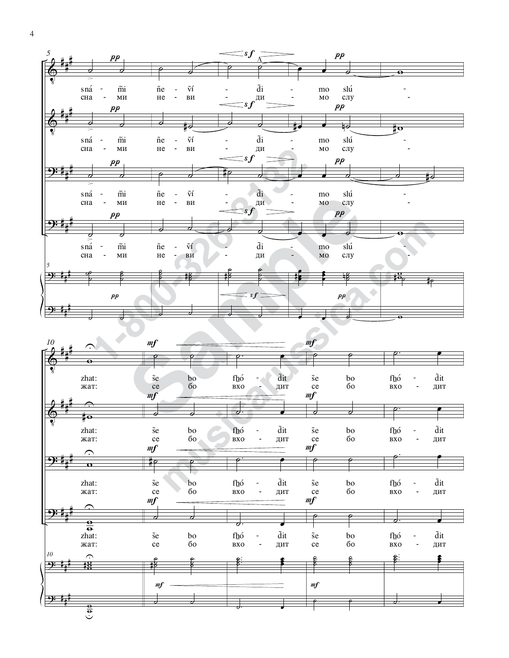

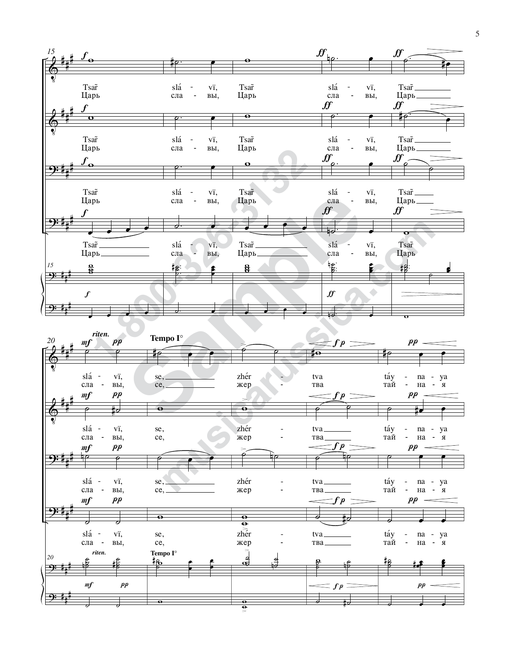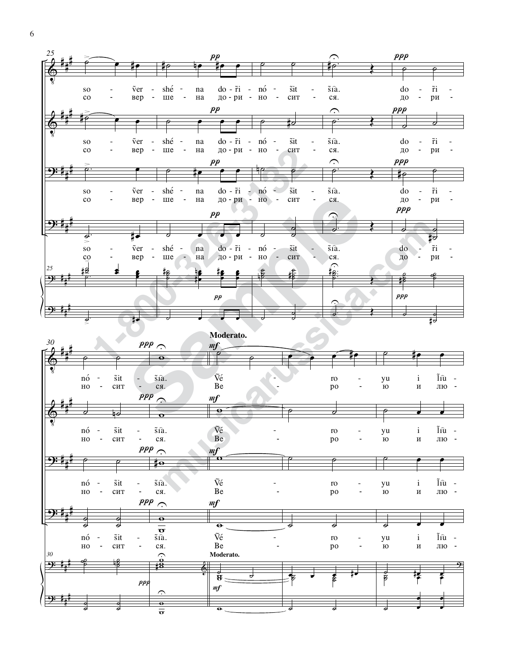

6